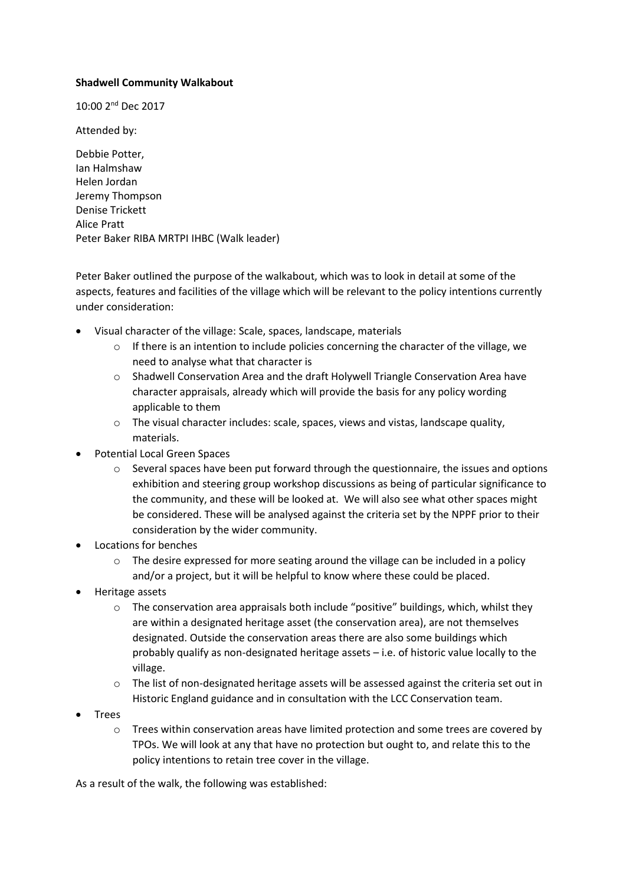## **Shadwell Community Walkabout**

10:00 2<sup>nd</sup> Dec 2017

Attended by:

Debbie Potter, Ian Halmshaw Helen Jordan Jeremy Thompson Denise Trickett Alice Pratt Peter Baker RIBA MRTPI IHBC (Walk leader)

Peter Baker outlined the purpose of the walkabout, which was to look in detail at some of the aspects, features and facilities of the village which will be relevant to the policy intentions currently under consideration:

- Visual character of the village: Scale, spaces, landscape, materials
	- $\circ$  If there is an intention to include policies concerning the character of the village, we need to analyse what that character is
	- o Shadwell Conservation Area and the draft Holywell Triangle Conservation Area have character appraisals, already which will provide the basis for any policy wording applicable to them
	- o The visual character includes: scale, spaces, views and vistas, landscape quality, materials.
- Potential Local Green Spaces
	- o Several spaces have been put forward through the questionnaire, the issues and options exhibition and steering group workshop discussions as being of particular significance to the community, and these will be looked at. We will also see what other spaces might be considered. These will be analysed against the criteria set by the NPPF prior to their consideration by the wider community.
- Locations for benches
	- $\circ$  The desire expressed for more seating around the village can be included in a policy and/or a project, but it will be helpful to know where these could be placed.
- Heritage assets
	- $\circ$  The conservation area appraisals both include "positive" buildings, which, whilst they are within a designated heritage asset (the conservation area), are not themselves designated. Outside the conservation areas there are also some buildings which probably qualify as non-designated heritage assets – i.e. of historic value locally to the village.
	- $\circ$  The list of non-designated heritage assets will be assessed against the criteria set out in Historic England guidance and in consultation with the LCC Conservation team.
- Trees
	- o Trees within conservation areas have limited protection and some trees are covered by TPOs. We will look at any that have no protection but ought to, and relate this to the policy intentions to retain tree cover in the village.

As a result of the walk, the following was established: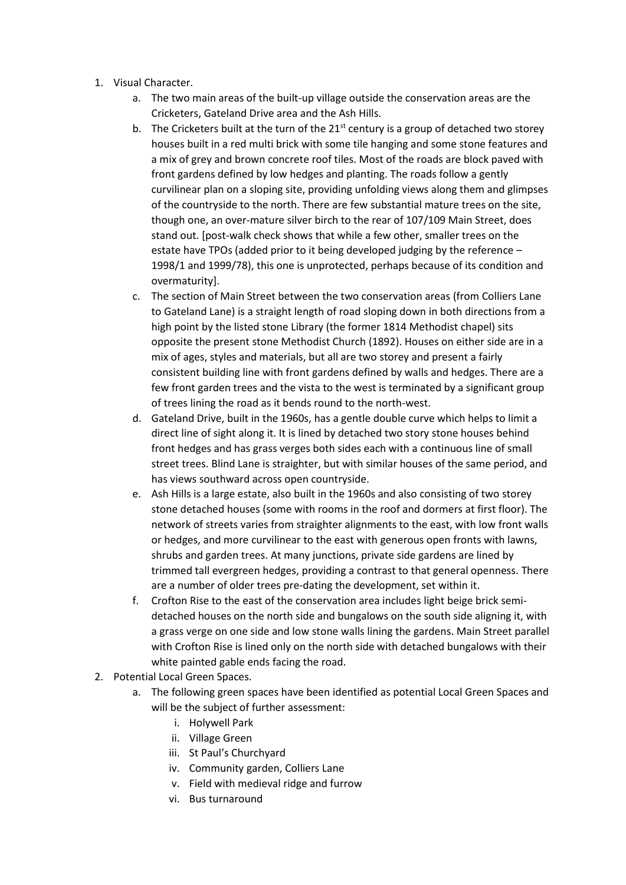- 1. Visual Character.
	- a. The two main areas of the built-up village outside the conservation areas are the Cricketers, Gateland Drive area and the Ash Hills.
	- b. The Cricketers built at the turn of the  $21<sup>st</sup>$  century is a group of detached two storey houses built in a red multi brick with some tile hanging and some stone features and a mix of grey and brown concrete roof tiles. Most of the roads are block paved with front gardens defined by low hedges and planting. The roads follow a gently curvilinear plan on a sloping site, providing unfolding views along them and glimpses of the countryside to the north. There are few substantial mature trees on the site, though one, an over-mature silver birch to the rear of 107/109 Main Street, does stand out. [post-walk check shows that while a few other, smaller trees on the estate have TPOs (added prior to it being developed judging by the reference – 1998/1 and 1999/78), this one is unprotected, perhaps because of its condition and overmaturity].
	- c. The section of Main Street between the two conservation areas (from Colliers Lane to Gateland Lane) is a straight length of road sloping down in both directions from a high point by the listed stone Library (the former 1814 Methodist chapel) sits opposite the present stone Methodist Church (1892). Houses on either side are in a mix of ages, styles and materials, but all are two storey and present a fairly consistent building line with front gardens defined by walls and hedges. There are a few front garden trees and the vista to the west is terminated by a significant group of trees lining the road as it bends round to the north-west.
	- d. Gateland Drive, built in the 1960s, has a gentle double curve which helps to limit a direct line of sight along it. It is lined by detached two story stone houses behind front hedges and has grass verges both sides each with a continuous line of small street trees. Blind Lane is straighter, but with similar houses of the same period, and has views southward across open countryside.
	- e. Ash Hills is a large estate, also built in the 1960s and also consisting of two storey stone detached houses (some with rooms in the roof and dormers at first floor). The network of streets varies from straighter alignments to the east, with low front walls or hedges, and more curvilinear to the east with generous open fronts with lawns, shrubs and garden trees. At many junctions, private side gardens are lined by trimmed tall evergreen hedges, providing a contrast to that general openness. There are a number of older trees pre-dating the development, set within it.
	- f. Crofton Rise to the east of the conservation area includes light beige brick semidetached houses on the north side and bungalows on the south side aligning it, with a grass verge on one side and low stone walls lining the gardens. Main Street parallel with Crofton Rise is lined only on the north side with detached bungalows with their white painted gable ends facing the road.
- 2. Potential Local Green Spaces.
	- a. The following green spaces have been identified as potential Local Green Spaces and will be the subject of further assessment:
		- i. Holywell Park
		- ii. Village Green
		- iii. St Paul's Churchyard
		- iv. Community garden, Colliers Lane
		- v. Field with medieval ridge and furrow
		- vi. Bus turnaround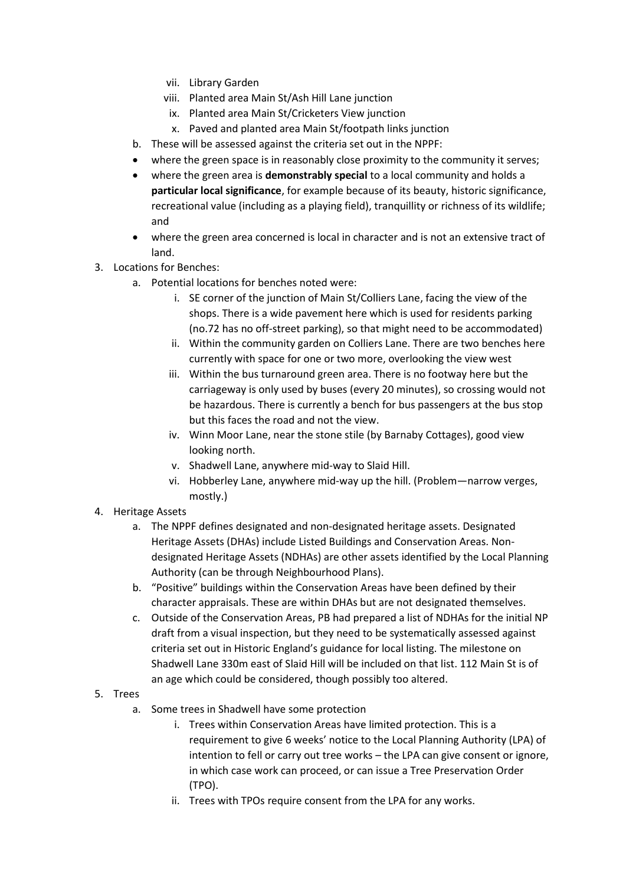- vii. Library Garden
- viii. Planted area Main St/Ash Hill Lane junction
	- ix. Planted area Main St/Cricketers View junction
- x. Paved and planted area Main St/footpath links junction
- b. These will be assessed against the criteria set out in the NPPF:
- where the green space is in reasonably close proximity to the community it serves;
- where the green area is **demonstrably special** to a local community and holds a **particular local significance**, for example because of its beauty, historic significance, recreational value (including as a playing field), tranquillity or richness of its wildlife; and
- where the green area concerned is local in character and is not an extensive tract of land.
- 3. Locations for Benches:
	- a. Potential locations for benches noted were:
		- i. SE corner of the junction of Main St/Colliers Lane, facing the view of the shops. There is a wide pavement here which is used for residents parking (no.72 has no off-street parking), so that might need to be accommodated)
		- ii. Within the community garden on Colliers Lane. There are two benches here currently with space for one or two more, overlooking the view west
		- iii. Within the bus turnaround green area. There is no footway here but the carriageway is only used by buses (every 20 minutes), so crossing would not be hazardous. There is currently a bench for bus passengers at the bus stop but this faces the road and not the view.
		- iv. Winn Moor Lane, near the stone stile (by Barnaby Cottages), good view looking north.
		- v. Shadwell Lane, anywhere mid-way to Slaid Hill.
		- vi. Hobberley Lane, anywhere mid-way up the hill. (Problem—narrow verges, mostly.)
- 4. Heritage Assets
	- a. The NPPF defines designated and non-designated heritage assets. Designated Heritage Assets (DHAs) include Listed Buildings and Conservation Areas. Nondesignated Heritage Assets (NDHAs) are other assets identified by the Local Planning Authority (can be through Neighbourhood Plans).
	- b. "Positive" buildings within the Conservation Areas have been defined by their character appraisals. These are within DHAs but are not designated themselves.
	- c. Outside of the Conservation Areas, PB had prepared a list of NDHAs for the initial NP draft from a visual inspection, but they need to be systematically assessed against criteria set out in Historic England's guidance for local listing. The milestone on Shadwell Lane 330m east of Slaid Hill will be included on that list. 112 Main St is of an age which could be considered, though possibly too altered.
- 5. Trees
	- a. Some trees in Shadwell have some protection
		- i. Trees within Conservation Areas have limited protection. This is a requirement to give 6 weeks' notice to the Local Planning Authority (LPA) of intention to fell or carry out tree works – the LPA can give consent or ignore, in which case work can proceed, or can issue a Tree Preservation Order (TPO).
		- ii. Trees with TPOs require consent from the LPA for any works.